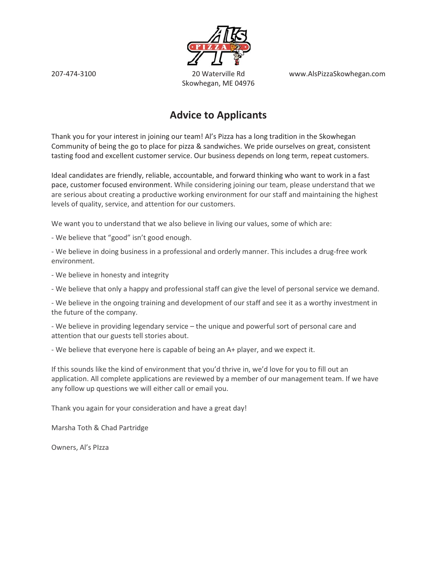www.AlsPizzaSkowhegan.com



20 Waterville Rd Skowhegan, ME 04976

#### **Advice to Applicants**

Thank you for your interest in joining our team! Al's Pizza has a long tradition in the Skowhegan Community of being the go to place for pizza & sandwiches. We pride ourselves on great, consistent tasting food and excellent customer service. Our business depends on long term, repeat customers.

Ideal candidates are friendly, reliable, accountable, and forward thinking who want to work in a fast pace, customer focused environment. While considering joining our team, please understand that we are serious about creating a productive working environment for our staff and maintaining the highest levels of quality, service, and attention for our customers.

We want you to understand that we also believe in living our values, some of which are:

- We believe that "good" isn't good enough.

- We believe in doing business in a professional and orderly manner. This includes a drug-free work environment.

- We believe in honesty and integrity

- We believe that only a happy and professional staff can give the level of personal service we demand.

- We believe in the ongoing training and development of our staff and see it as a worthy investment in the future of the company.

- We believe in providing legendary service - the unique and powerful sort of personal care and attention that our guests tell stories about.

- We believe that everyone here is capable of being an A+ player, and we expect it.

If this sounds like the kind of environment that you'd thrive in, we'd love for you to fill out an application. All complete applications are reviewed by a member of our management team. If we have any follow up questions we will either call or email you.

Thank you again for your consideration and have a great day!

Marsha Toth & Chad Partridge

Owners, Al's Plzza

207-474-3100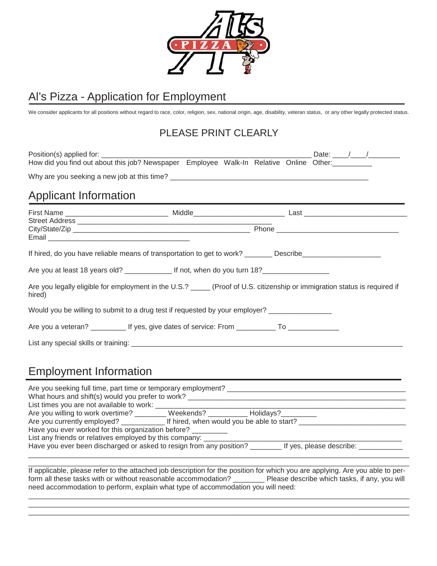

# Al's Pizza - Application for Employment

We consider applicants for all positions without regard to race, color, religion, sex, national origin, age, disability, veteran status, or any other legally protected status.

#### PLEASE PRINT CLEARLY

| How did you find out about this job? Newspaper Employee Walk-In Relative Online Other:__________                                                                                                                     |  |  |
|----------------------------------------------------------------------------------------------------------------------------------------------------------------------------------------------------------------------|--|--|
|                                                                                                                                                                                                                      |  |  |
| <b>Applicant Information</b>                                                                                                                                                                                         |  |  |
|                                                                                                                                                                                                                      |  |  |
| If hired, do you have reliable means of transportation to get to work? ________ Describe_____________________<br>Are you at least 18 years old? ________________ If not, when do you turn 18? ______________________ |  |  |
| Are you legally eligible for employment in the U.S.? _____ (Proof of U.S. citizenship or immigration status is required if<br>hired)                                                                                 |  |  |
| Would you be willing to submit to a drug test if requested by your employer? _______________                                                                                                                         |  |  |
| Are you a veteran? _____________ If yes, give dates of service: From _______________________________                                                                                                                 |  |  |

# Employment Information

| Are you seeking full time, part time or temporary employment?<br>What hours and shift(s) would you prefer to work?<br>List times you are not available to work: |  |
|-----------------------------------------------------------------------------------------------------------------------------------------------------------------|--|
| Are you willing to work overtime? ________ Weekends? _________ Holidays?                                                                                        |  |
|                                                                                                                                                                 |  |
| Have you ever worked for this organization before?                                                                                                              |  |
| List any friends or relatives employed by this company: ___                                                                                                     |  |
| Have you ever been discharged or asked to resign from any position?<br>If yes, please describe:                                                                 |  |

If applicable, please refer to the attached job description for the position for which you are applying. Are you able to perform all these tasks with or without reasonable accommodation? \_\_\_\_\_\_\_\_ Please describe which tasks, if any, you will need accommodation to perform, explain what type of accommodation you will need:

\_\_\_\_\_\_\_\_\_\_\_\_\_\_\_\_\_\_\_\_\_\_\_\_\_\_\_\_\_\_\_\_\_\_\_\_\_\_\_\_\_\_\_\_\_\_\_\_\_\_\_\_\_\_\_\_\_\_\_\_\_\_\_\_\_\_\_\_\_\_\_\_\_\_\_\_\_\_\_\_\_\_\_\_\_\_\_\_\_\_\_\_\_\_\_\_ \_\_\_\_\_\_\_\_\_\_\_\_\_\_\_\_\_\_\_\_\_\_\_\_\_\_\_\_\_\_\_\_\_\_\_\_\_\_\_\_\_\_\_\_\_\_\_\_\_\_\_\_\_\_\_\_\_\_\_\_\_\_\_\_\_\_\_\_\_\_\_\_\_\_\_\_\_\_\_\_\_\_\_\_\_\_\_\_\_\_\_\_\_\_\_\_ \_\_\_\_\_\_\_\_\_\_\_\_\_\_\_\_\_\_\_\_\_\_\_\_\_\_\_\_\_\_\_\_\_\_\_\_\_\_\_\_\_\_\_\_\_\_\_\_\_\_\_\_\_\_\_\_\_\_\_\_\_\_\_\_\_\_\_\_\_\_\_\_\_\_\_\_\_\_\_\_\_\_\_\_\_\_\_\_\_\_\_\_\_\_\_\_

\_\_\_\_\_\_\_\_\_\_\_\_\_\_\_\_\_\_\_\_\_\_\_\_\_\_\_\_\_\_\_\_\_\_\_\_\_\_\_\_\_\_\_\_\_\_\_\_\_\_\_\_\_\_\_\_\_\_\_\_\_\_\_\_\_\_\_\_\_\_\_\_\_\_\_\_\_\_\_\_\_\_\_\_\_\_\_\_\_\_\_\_\_\_\_\_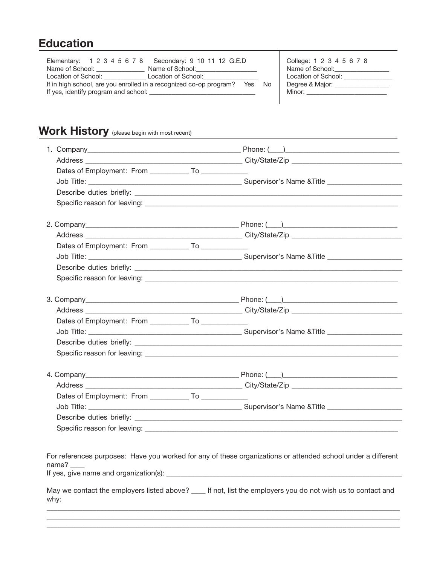#### **Education**

| Elementary: 1 2 3 4 5 6 7 8 Secondary: 9 10 11 12 G.E.D                      |                                      | College: 1 2 3 4 5 6 7 8       |
|------------------------------------------------------------------------------|--------------------------------------|--------------------------------|
| Name of School: Name of School:                                              | Name of School:                      | Name of School:                |
| Location of School:                                                          | Location of School: North March 1999 | Location of School:            |
| If in high school, are you enrolled in a recognized co-op program?<br>Yes No |                                      | Degree & Major: ______________ |
| If yes, identify program and school:                                         |                                      | Minor: <b>Example 20</b>       |
|                                                                              |                                      |                                |

 $\top$ 

# Work History (please begin with most recent)

| Dates of Employment: From ______________ To ______________ |  |
|------------------------------------------------------------|--|
|                                                            |  |
|                                                            |  |
|                                                            |  |
|                                                            |  |
|                                                            |  |
|                                                            |  |
|                                                            |  |
|                                                            |  |
|                                                            |  |
|                                                            |  |
|                                                            |  |
|                                                            |  |
|                                                            |  |
| Dates of Employment: From ______________ To ______________ |  |
|                                                            |  |
|                                                            |  |
|                                                            |  |
|                                                            |  |
|                                                            |  |
|                                                            |  |
|                                                            |  |
|                                                            |  |
|                                                            |  |
|                                                            |  |
|                                                            |  |

For references purposes: Have you worked for any of these organizations or attended school under a different name? \_\_\_\_ If yes, give name and organization(s): \_\_\_\_\_\_\_\_\_\_\_\_\_\_\_\_\_\_\_\_\_\_\_\_\_\_\_\_\_\_\_\_\_\_\_\_\_\_\_\_\_\_\_\_\_\_\_\_\_\_\_\_\_\_\_\_\_\_\_\_\_\_\_\_\_\_

May we contact the employers listed above? \_\_\_\_ If not, list the employers you do not wish us to contact and why:  $\_$  ,  $\_$  ,  $\_$  ,  $\_$  ,  $\_$  ,  $\_$  ,  $\_$  ,  $\_$  ,  $\_$  ,  $\_$  ,  $\_$  ,  $\_$  ,  $\_$  ,  $\_$  ,  $\_$  ,  $\_$  ,  $\_$  ,  $\_$  ,  $\_$  ,  $\_$  ,  $\_$  ,  $\_$  ,  $\_$  ,  $\_$  ,  $\_$  ,  $\_$  ,  $\_$  ,  $\_$  ,  $\_$  ,  $\_$  ,  $\_$  ,  $\_$  ,  $\_$  ,  $\_$  ,  $\_$  ,  $\_$  ,  $\_$  ,

 $\_$  ,  $\_$  ,  $\_$  ,  $\_$  ,  $\_$  ,  $\_$  ,  $\_$  ,  $\_$  ,  $\_$  ,  $\_$  ,  $\_$  ,  $\_$  ,  $\_$  ,  $\_$  ,  $\_$  ,  $\_$  ,  $\_$  ,  $\_$  ,  $\_$  ,  $\_$  ,  $\_$  ,  $\_$  ,  $\_$  ,  $\_$  ,  $\_$  ,  $\_$  ,  $\_$  ,  $\_$  ,  $\_$  ,  $\_$  ,  $\_$  ,  $\_$  ,  $\_$  ,  $\_$  ,  $\_$  ,  $\_$  ,  $\_$  ,  $\_$  ,  $\_$  ,  $\_$  ,  $\_$  ,  $\_$  ,  $\_$  ,  $\_$  ,  $\_$  ,  $\_$  ,  $\_$  ,  $\_$  ,  $\_$  ,  $\_$  ,  $\_$  ,  $\_$  ,  $\_$  ,  $\_$  ,  $\_$  ,  $\_$  ,  $\_$  ,  $\_$  ,  $\_$  ,  $\_$  ,  $\_$  ,  $\_$  ,  $\_$  ,  $\_$  ,  $\_$  ,  $\_$  ,  $\_$  ,  $\_$  ,  $\_$  ,  $\_$  ,  $\_$  ,  $\_$  ,  $\_$  ,  $\_$  ,